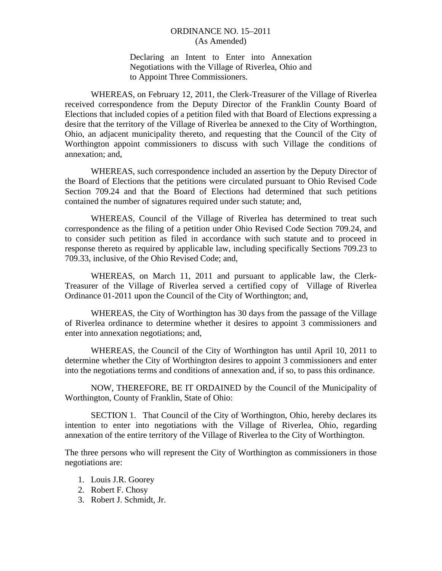## ORDINANCE NO. 15–2011 (As Amended)

Declaring an Intent to Enter into Annexation Negotiations with the Village of Riverlea, Ohio and to Appoint Three Commissioners.

 WHEREAS, on February 12, 2011, the Clerk-Treasurer of the Village of Riverlea received correspondence from the Deputy Director of the Franklin County Board of Elections that included copies of a petition filed with that Board of Elections expressing a desire that the territory of the Village of Riverlea be annexed to the City of Worthington, Ohio, an adjacent municipality thereto, and requesting that the Council of the City of Worthington appoint commissioners to discuss with such Village the conditions of annexation; and,

 WHEREAS, such correspondence included an assertion by the Deputy Director of the Board of Elections that the petitions were circulated pursuant to Ohio Revised Code Section 709.24 and that the Board of Elections had determined that such petitions contained the number of signatures required under such statute; and,

 WHEREAS, Council of the Village of Riverlea has determined to treat such correspondence as the filing of a petition under Ohio Revised Code Section 709.24, and to consider such petition as filed in accordance with such statute and to proceed in response thereto as required by applicable law, including specifically Sections 709.23 to 709.33, inclusive, of the Ohio Revised Code; and,

 WHEREAS, on March 11, 2011 and pursuant to applicable law, the Clerk-Treasurer of the Village of Riverlea served a certified copy of Village of Riverlea Ordinance 01-2011 upon the Council of the City of Worthington; and,

 WHEREAS, the City of Worthington has 30 days from the passage of the Village of Riverlea ordinance to determine whether it desires to appoint 3 commissioners and enter into annexation negotiations; and,

 WHEREAS, the Council of the City of Worthington has until April 10, 2011 to determine whether the City of Worthington desires to appoint 3 commissioners and enter into the negotiations terms and conditions of annexation and, if so, to pass this ordinance.

 NOW, THEREFORE, BE IT ORDAINED by the Council of the Municipality of Worthington, County of Franklin, State of Ohio:

 SECTION 1. That Council of the City of Worthington, Ohio, hereby declares its intention to enter into negotiations with the Village of Riverlea, Ohio, regarding annexation of the entire territory of the Village of Riverlea to the City of Worthington.

The three persons who will represent the City of Worthington as commissioners in those negotiations are:

- 1. Louis J.R. Goorey
- 2. Robert F. Chosy
- 3. Robert J. Schmidt, Jr.